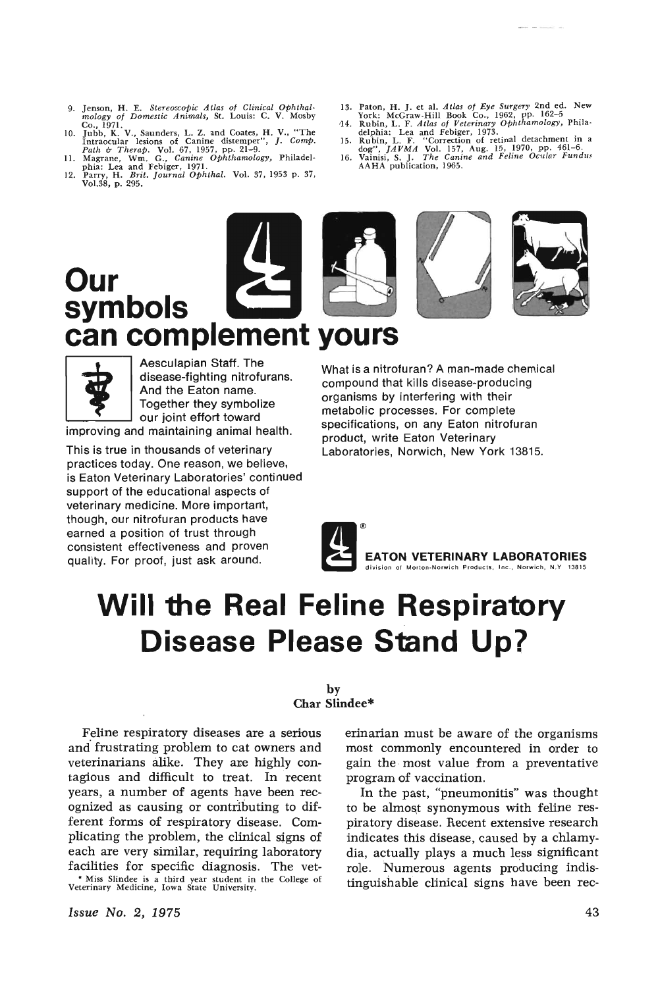- 9. Jenson, H. E. *Stereoscopic Atlas of Clinical ophthal· mology of Domestic Animals,* St. Louis: C. V. Mosby
- Co., 1971.<br>
10. Jubb, K. V., Saunders, L. Z. and Coates, H. V., "The<br>
1ntraocular lesions of Canine distemper", J. Comp.<br> *Path & Therap.* Vol. 67, 1957, pp. 21-9.<br>
11. Magrane, Wm. G., Canine Ophthamology, Philadelphia: L
- 
- 
- 
- 
- 
- 13. Paton, H. J. et al. Atlas of Eye Surgery 2nd ed. New York: McGraw-Hill Book Co., 1962, pp. 162-5<br>44. Rubin, L. F. Atlas of Veterinary Ophthamology, Phila<br>delphia: Lea and febiger, 1973.<br>6. Rubin, L. F. "Correction of





Aesculapian Staff. The<br>disease-fighting nitroft<br>And the Eaton name.<br>Together they symboli<br>our joint effort toward disease-fighting nitrofurans. And the Eaton name. Together they symbolize our joint effort toward

improving and maintaining animal health.

This is true in thousands of veterinary practices today. One reason, we believe, is Eaton Veterinary Laboratories' continued support of the educational aspects of veterinary medicine. More important, though, our nitrofuran products have earned a position of trust through consistent effectiveness and proven quality. For proof, just ask around.

What is a nitrofuran? A man-made chemical compound that kills disease-producing organisms by interfering with their metabolic processes. For complete specifications, on any Eaton nitrofuran product, write Eaton Veterinary Laboratories, Norwich, New York 13815.



## **Will the Real Feline Respiratory Disease Please Stand Up?**

### by Char Slindee\*

Feline respiratory diseases are a serious and frustrating problem to cat owners and veterinarians alike. They are highly contagious and difficult to treat. In recent years, a number of agents have been recognized as causing or contributing to different forms of respiratory disease. Complicating the problem, the clinical signs of each are very similar, requiring laboratory facilities for specific diagnosis. The vet- • Miss Slindee is a third year student in the College of Veterinary Medicine, Iowa State University,

Issue No.2, 1975

erinarian must be aware of the organisms most commonly encountered in order to gain the· most value from a preventative program of vaccination.

In the past, "pneumonitis" was thought to be almost synonymous with feline respiratory disease. Recent extensive research indicates this disease, caused by a chlamydia, actually plays a much less significant role. Numerous agents producing indistinguishable clinical signs have been rec-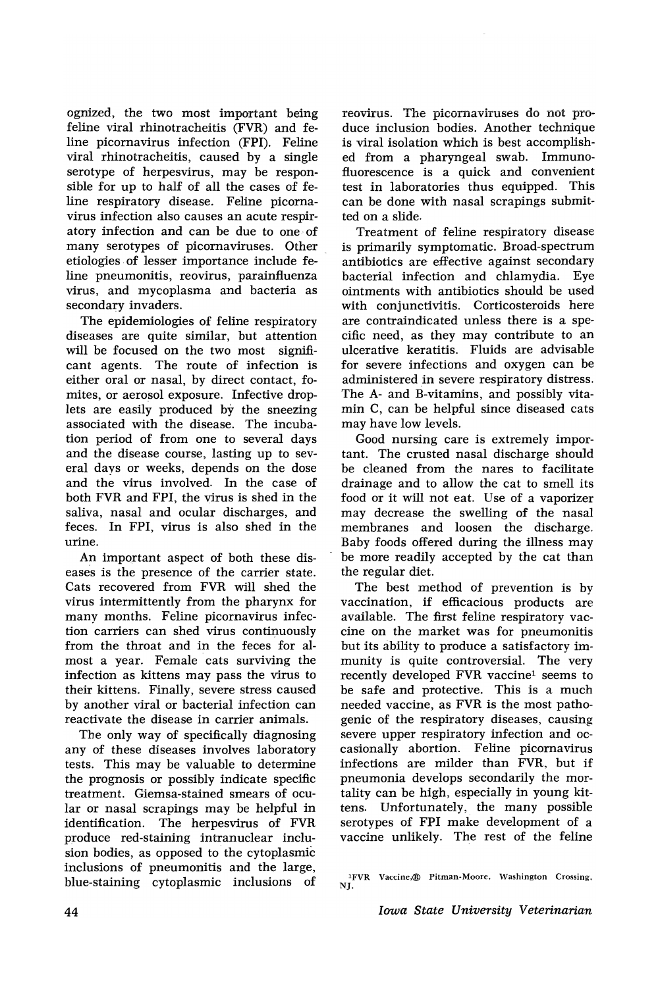ognized, the two most important being feline viral rhinotracheitis (FVR) and feline picornavirus infection (FPI). Feline viral rhinotracheitis, caused by a single serotype of herpesvirus, may be responsible for up to half of all the cases of feline respiratory disease. Feline picornavirus infection also causes an acute respiratory infection and can be due to one· of many serotypes of picornaviruses. Other etiologies of lesser importance include feline pneumonitis, reovirus, parainfluenza virus, and mycoplasma and bacteria as secondary invaders.

The epidemiologies of feline respiratory diseases are quite similar, but attention will be focused on the two most significant agents. The route of infection is either oral or nasal, by direct contact, fomites, or aerosol exposure. Infective droplets are easily produced by the sneezing associated with the disease. The incubation period of from one to several days and the disease course, lasting up to several days or weeks, depends on the dose and the virus involved. In the case of both FVR and FPI, the virus is shed in the saliva, nasal and ocular discharges, and feces. In FPI, virus is also shed in the urine.

An important aspect of both these diseases is the presence of the carrier state. Cats recovered from FVR will shed the virus intermittently from the pharynx for many months. Feline picornavirus infection carriers can shed virus continuously from the throat and in the feces for almost a year. Female cats surviving the infection as kittens may pass the virus to their kittens. Finally, severe stress caused by another viral or bacterial infection can reactivate the disease in carrier animals.

The only way of specifically diagnosing any of these diseases involves laboratory tests. This may be valuable to determine the prognosis or possibly indicate specific treatment. Giemsa-stained smears of ocular or nasal scrapings may be helpful in identification. The herpesvirus of FVR p:roduce red-staining intranuclear inclusion bodies, as opposed to the cytoplasmic inclusions of pneumonitis and the large, blue-staining cytoplasmic inclusions of reovirus. The picornaviruses do not produce inclusion bodies. Another technique is viral isolation which is best accomplished from a pharyngeal swab. Immunofluorescence is a quick and convenient test in laboratories thus equipped. This can be done with nasal scrapings submitted on a slide.

Treatment of feline respiratory disease is primarily symptomatic. Broad-spectrum antibiotics are effective against secondary bacterial infection and chlamydia. Eye ointments with antibiotics should be used with conjunctivitis. Corticosteroids here are contraindicated unless there is a specific need, as they may contribute to an ulcerative keratitis. Fluids are advisable for severe infections and oxygen can be administered in severe respiratory distress. The A- and B-vitamins, and possibly vitamin C, can be helpful since diseased cats may have low levels.

Good nursing care is extremely important. The crusted nasal discharge should be cleaned from the nares to facilitate drainage and to allow the cat to smell its food or it will not eat. Use of a vaporizer may decrease the swelling of the nasal membranes and loosen the discharge. Baby foods offered during the illness may be more readily accepted by the cat than the regular diet.

The best method of prevention is by vaccination, if efficacious products are available. The first feline respiratory vaccine on the market was for pneumonitis but its ability to produce a satisfactory immunity is quite controversial. The very recently developed FVR vaccine<sup>l</sup> seems to be safe and protective. This is a much needed vaccine, as FVR is the most pathogenic of the respiratory diseases, causing severe upper respiratory infection and occasionally abortion. Feline picornavirus infections are milder than FVR, but if pneumonia develops secondarily the mortality can be high, especially in young kittens. Unfortunately, the many possible serotypes of FPI make development of a vaccine unlikely. The rest of the feline

IFVR Vaccine,@ Pitman-Moore. Washington Crossing, NJ.